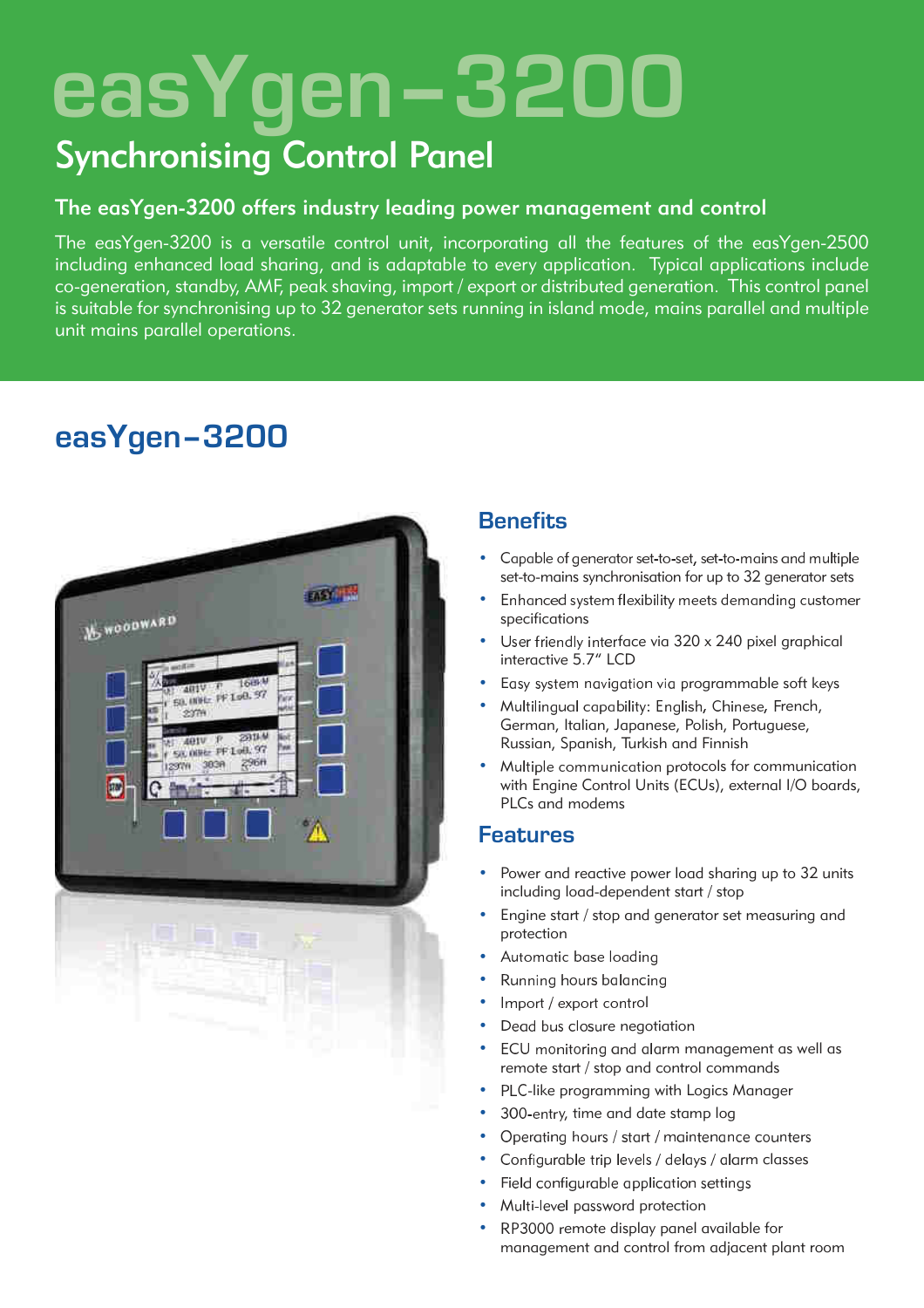# easYgen-3200

# **Synchronising Control Panel**

# The easYgen-3200 offers industry leading power management and control

The easYgen-3200 is a versatile control unit, incorporating all the features of the easYgen-2500 including enhanced load sharing, and is adaptable to every application. Typical applications include co-generation, standby, AMF, peak shaving, import / export or distributed generation. This control panel is suitable for synchronising up to 32 generator sets running in island mode, mains parallel and multiple unit mains parallel operations.



# easYgen-3200

# **Benefits**

- Capable of generator set-to-set, set-to-mains and multiple set-to-mains synchronisation for up to 32 generator sets
- Enhanced system flexibility meets demanding customer specifications
- User friendly interface via 320 x 240 pixel graphical interactive 5.7" LCD
- Easy system navigation via programmable soft keys
- Multilingual capability: English, Chinese, French, German, Italian, Japanese, Polish, Portuguese, Russian, Spanish, Turkish and Finnish
- Multiple communication protocols for communication with Engine Control Units (ECUs), external I/O boards, PLCs and modems

# **Features**

- Power and reactive power load sharing up to 32 units including load-dependent start / stop
- Engine start / stop and generator set measuring and protection
- Automatic base loading
- Running hours balancing
- Import / export control
- Dead bus closure negotiation
- ECU monitoring and alarm management as well as remote start / stop and control commands
- PLC-like programming with Logics Manager
- $\bullet$ 300-entry, time and date stamp log
- Operating hours / start / maintenance counters
- Configurable trip levels / delays / alarm classes
- Field configurable application settings
- Multi-level password protection
- RP3000 remote display panel available for management and control from adjacent plant room